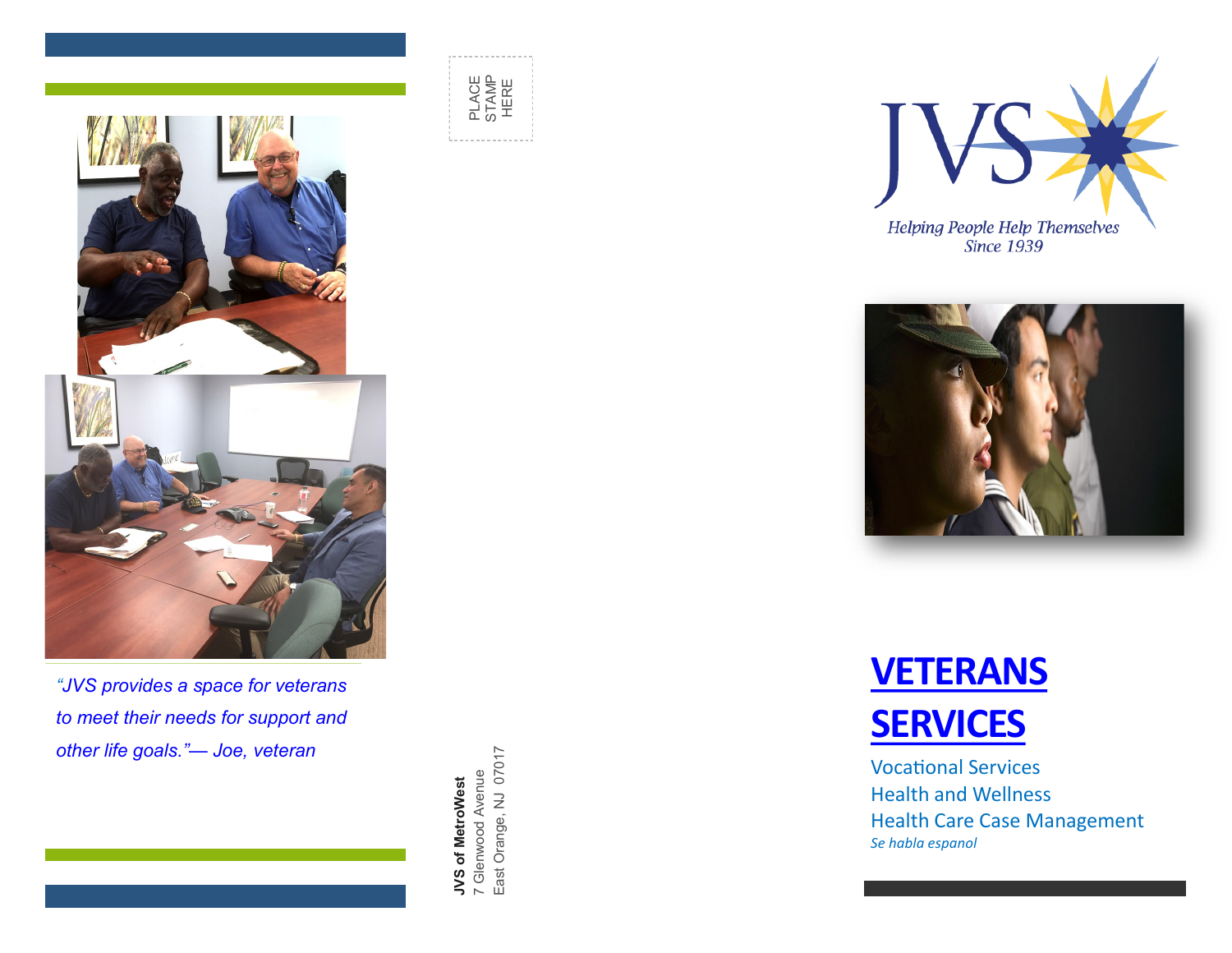

 $W_{\rm eff}$  of  $\mathcal{E}_{\rm eff}$  of  $\mathcal{E}_{\rm eff}$  of  $\mathcal{E}_{\rm eff}$  of  $\mathcal{E}_{\rm eff}$ 

*"JVS provides a space for veterans to meet their needs for support and other life goals."— Joe, veteran*

**JVS of MetroWest** 7 Glenwood Avenue East Orange, NJ 07017







Vocational Services Health and Wellness Health Care Case Management *Se habla espanol*